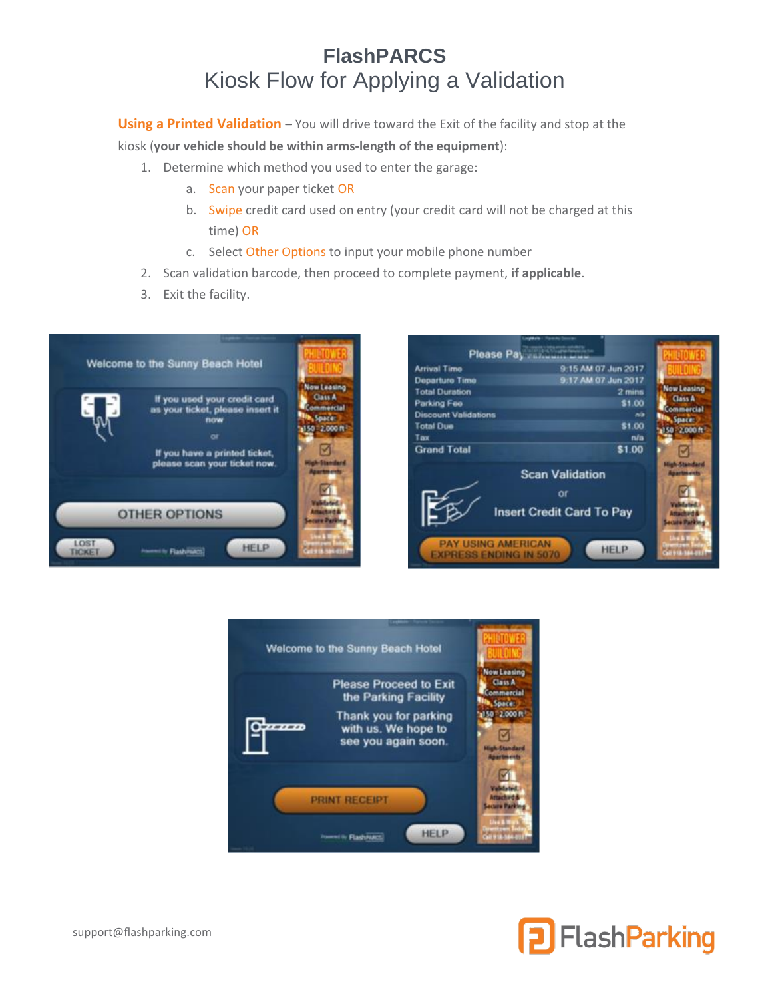## **FlashPARCS** Kiosk Flow for Applying a Validation

**Using a Printed Validation** – You will drive toward the Exit of the facility and stop at the

kiosk (**your vehicle should be within arms-length of the equipment**):

- 1. Determine which method you used to enter the garage:
	- a. Scan your paper ticket OR
	- b. Swipe credit card used on entry (your credit card will not be charged at this time) OR
	- c. Select Other Options to input your mobile phone number
- 2. Scan validation barcode, then proceed to complete payment, **if applicable**.
- 3. Exit the facility.